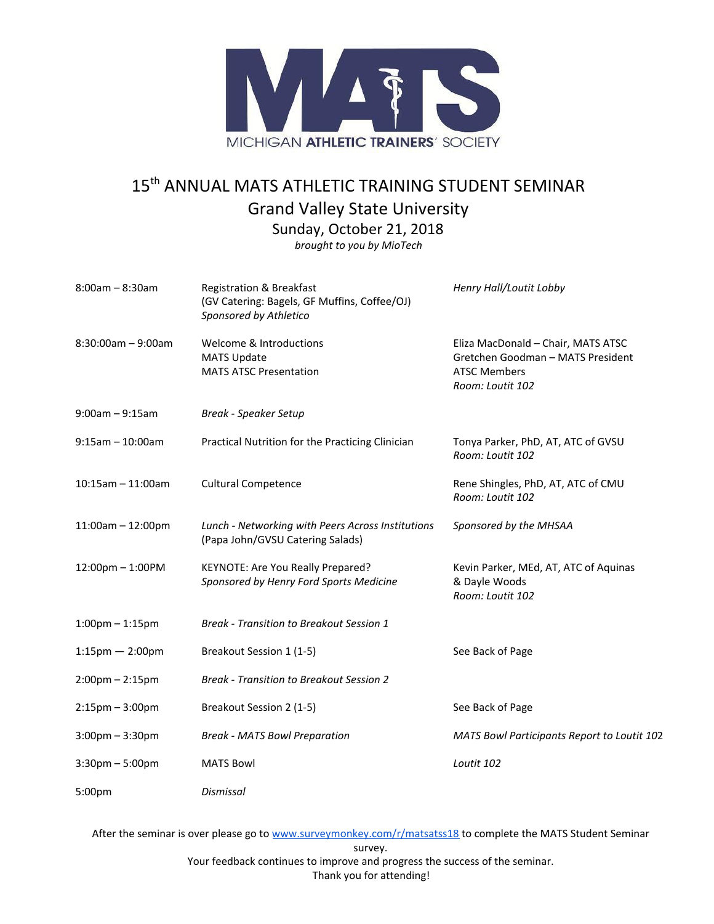

## 15<sup>th</sup> ANNUAL MATS ATHLETIC TRAINING STUDENT SEMINAR Grand Valley State University

Sunday, October 21, 2018

*brought to you by MioTech*

| $8:00$ am - $8:30$ am             | <b>Registration &amp; Breakfast</b><br>(GV Catering: Bagels, GF Muffins, Coffee/OJ)<br>Sponsored by Athletico | Henry Hall/Loutit Lobby                                                                                            |
|-----------------------------------|---------------------------------------------------------------------------------------------------------------|--------------------------------------------------------------------------------------------------------------------|
| $8:30:00am - 9:00am$              | Welcome & Introductions<br><b>MATS Update</b><br><b>MATS ATSC Presentation</b>                                | Eliza MacDonald - Chair, MATS ATSC<br>Gretchen Goodman - MATS President<br><b>ATSC Members</b><br>Room: Loutit 102 |
| $9:00$ am - $9:15$ am             | <b>Break - Speaker Setup</b>                                                                                  |                                                                                                                    |
| $9:15am - 10:00am$                | Practical Nutrition for the Practicing Clinician                                                              | Tonya Parker, PhD, AT, ATC of GVSU<br>Room: Loutit 102                                                             |
| $10:15$ am - 11:00am              | <b>Cultural Competence</b>                                                                                    | Rene Shingles, PhD, AT, ATC of CMU<br>Room: Loutit 102                                                             |
| $11:00am - 12:00pm$               | Lunch - Networking with Peers Across Institutions<br>(Papa John/GVSU Catering Salads)                         | Sponsored by the MHSAA                                                                                             |
| 12:00pm - 1:00PM                  | KEYNOTE: Are You Really Prepared?<br>Sponsored by Henry Ford Sports Medicine                                  | Kevin Parker, MEd, AT, ATC of Aquinas<br>& Dayle Woods<br>Room: Loutit 102                                         |
| $1:00$ pm $-1:15$ pm              | <b>Break - Transition to Breakout Session 1</b>                                                               |                                                                                                                    |
| $1:15$ pm - 2:00pm                | Breakout Session 1 (1-5)                                                                                      | See Back of Page                                                                                                   |
| $2:00$ pm $- 2:15$ pm             | <b>Break - Transition to Breakout Session 2</b>                                                               |                                                                                                                    |
| $2:15$ pm $-3:00$ pm              | Breakout Session 2 (1-5)                                                                                      | See Back of Page                                                                                                   |
| $3:00 \text{pm} - 3:30 \text{pm}$ | <b>Break - MATS Bowl Preparation</b>                                                                          | <b>MATS Bowl Participants Report to Loutit 102</b>                                                                 |
| $3:30$ pm $-5:00$ pm              | <b>MATS Bowl</b>                                                                                              | Loutit 102                                                                                                         |
| 5:00pm                            | Dismissal                                                                                                     |                                                                                                                    |

After the seminar is over please go to [www.surveymonkey.com/r/matsatss18](http://www.surveymonkey.com/r/matsatss18) to complete the MATS Student Seminar survey. Your feedback continues to improve and progress the success of the seminar.

Thank you for attending!